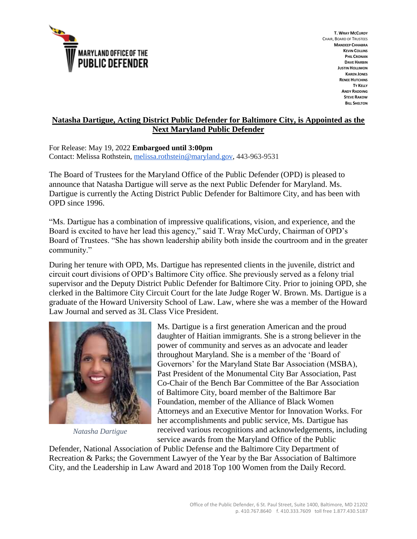

**T. WRAY MCCURDY** CHAIR, BOARD OF TRUSTEES **MANDEEP CHHABRA KEVIN COLLINS PHIL CRONAN DAVE HARBIN JUSTIN HOLLIMON KAREN JONES RENEE HUTCHINS TY KELLY ANDY RADDING STEVE RAKOW BILL SHELTON**

## **Natasha Dartigue, Acting District Public Defender for Baltimore City, is Appointed as the Next Maryland Public Defender**

For Release: May 19, 2022 **Embargoed until 3:00pm**

Contact: Melissa Rothstein[, melissa.rothstein@maryland.gov,](mailto:melissa.rothstein@maryland.gov) 443-963-9531

The Board of Trustees for the Maryland Office of the Public Defender (OPD) is pleased to announce that Natasha Dartigue will serve as the next Public Defender for Maryland. Ms. Dartigue is currently the Acting District Public Defender for Baltimore City, and has been with OPD since 1996.

"Ms. Dartigue has a combination of impressive qualifications, vision, and experience, and the Board is excited to have her lead this agency," said T. Wray McCurdy, Chairman of OPD's Board of Trustees. "She has shown leadership ability both inside the courtroom and in the greater community."

During her tenure with OPD, Ms. Dartigue has represented clients in the juvenile, district and circuit court divisions of OPD's Baltimore City office. She previously served as a felony trial supervisor and the Deputy District Public Defender for Baltimore City. Prior to joining OPD, she clerked in the Baltimore City Circuit Court for the late Judge Roger W. Brown. Ms. Dartigue is a graduate of the Howard University School of Law. Law, where she was a member of the Howard Law Journal and served as 3L Class Vice President.



*Natasha Dartigue*

Ms. Dartigue is a first generation American and the proud daughter of Haitian immigrants. She is a strong believer in the power of community and serves as an advocate and leader throughout Maryland. She is a member of the 'Board of Governors' for the Maryland State Bar Association (MSBA), Past President of the Monumental City Bar Association, Past Co-Chair of the Bench Bar Committee of the Bar Association of Baltimore City, board member of the Baltimore Bar Foundation, member of the Alliance of Black Women Attorneys and an Executive Mentor for Innovation Works. For her accomplishments and public service, Ms. Dartigue has received various recognitions and acknowledgements, including service awards from the Maryland Office of the Public

Defender, National Association of Public Defense and the Baltimore City Department of Recreation & Parks; the Government Lawyer of the Year by the Bar Association of Baltimore City, and the Leadership in Law Award and 2018 Top 100 Women from the Daily Record.